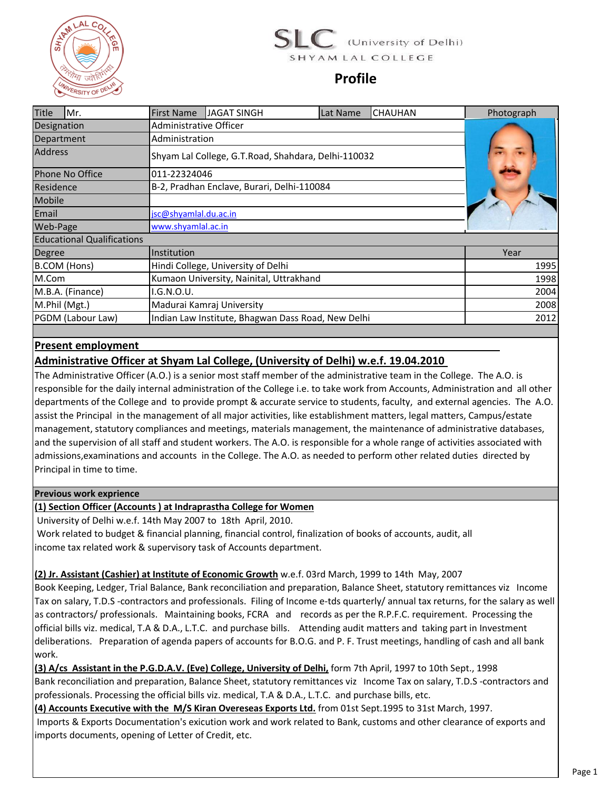



# **Profile**

| Title<br>Mr.                      | <b>First Name</b>                                   | JAGAT SINGH | Lat Name | <b>CHAUHAN</b> | Photograph |
|-----------------------------------|-----------------------------------------------------|-------------|----------|----------------|------------|
| Designation                       | Administrative Officer                              |             |          |                |            |
| Department                        | Administration                                      |             |          |                |            |
| <b>Address</b>                    | Shyam Lal College, G.T.Road, Shahdara, Delhi-110032 |             |          |                |            |
| Phone No Office                   | 011-22324046                                        |             |          |                |            |
| Residence                         | B-2, Pradhan Enclave, Burari, Delhi-110084          |             |          |                |            |
| <b>Mobile</b>                     |                                                     |             |          |                |            |
| Email                             | <u>jsc@shyamlal.du.ac.in</u>                        |             |          |                |            |
| Web-Page                          | www.shyamlal.ac.in                                  |             |          |                |            |
| <b>Educational Qualifications</b> |                                                     |             |          |                |            |
| Degree                            | Institution                                         |             |          |                | Year       |
| B.COM (Hons)                      | Hindi College, University of Delhi                  |             |          |                | 1995       |
| M.Com                             | Kumaon University, Nainital, Uttrakhand             |             |          |                | 1998       |
| M.B.A. (Finance)                  | I.G.N.O.U.                                          |             |          |                | 2004       |
| M.Phil (Mgt.)                     | Madurai Kamraj University                           |             |          |                | 2008       |
| PGDM (Labour Law)                 | Indian Law Institute, Bhagwan Dass Road, New Delhi  |             |          |                | 2012       |

### **Present employment**

**Administrative Officer at Shyam Lal College, (University of Delhi) w.e.f. 19.04.2010** 

The Administrative Officer (A.O.) is a senior most staff member of the administrative team in the College. The A.O. is responsible for the daily internal administration of the College i.e. to take work from Accounts, Administration and all other departments of the College and to provide prompt & accurate service to students, faculty, and external agencies. The A.O. assist the Principal in the management of all major activities, like establishment matters, legal matters, Campus/estate management, statutory compliances and meetings, materials management, the maintenance of administrative databases, and the supervision of all staff and student workers. The A.O. is responsible for a whole range of activities associated with admissions,examinations and accounts in the College. The A.O. as needed to perform other related duties directed by Principal in time to time.

#### **Previous work exprience**

**(1) Section Officer (Accounts ) at Indraprastha College for Women**

University of Delhi w.e.f. 14th May 2007 to 18th April, 2010.

 Work related to budget & financial planning, financial control, finalization of books of accounts, audit, all income tax related work & supervisory task of Accounts department.

**(2) Jr. Assistant (Cashier) at Institute of Economic Growth** w.e.f. 03rd March, 1999 to 14th May, 2007

Book Keeping, Ledger, Trial Balance, Bank reconciliation and preparation, Balance Sheet, statutory remittances viz Income Tax on salary, T.D.S -contractors and professionals. Filing of Income e-tds quarterly/ annual tax returns, for the salary as well as contractors/ professionals. Maintaining books, FCRA and records as per the R.P.F.C. requirement. Processing the official bills viz. medical, T.A & D.A., L.T.C. and purchase bills. Attending audit matters and taking part in Investment deliberations. Preparation of agenda papers of accounts for B.O.G. and P. F. Trust meetings, handling of cash and all bank work.

**(3) A/cs Assistant in the P.G.D.A.V. (Eve) College, University of Delhi,** form 7th April, 1997 to 10th Sept., 1998 Bank reconciliation and preparation, Balance Sheet, statutory remittances viz Income Tax on salary, T.D.S -contractors and professionals. Processing the official bills viz. medical, T.A & D.A., L.T.C. and purchase bills, etc.

**(4) Accounts Executive with the M/S Kiran Overeseas Exports Ltd.** from 01st Sept.1995 to 31st March, 1997.

 Imports & Exports Documentation's exicution work and work related to Bank, customs and other clearance of exports and imports documents, opening of Letter of Credit, etc.